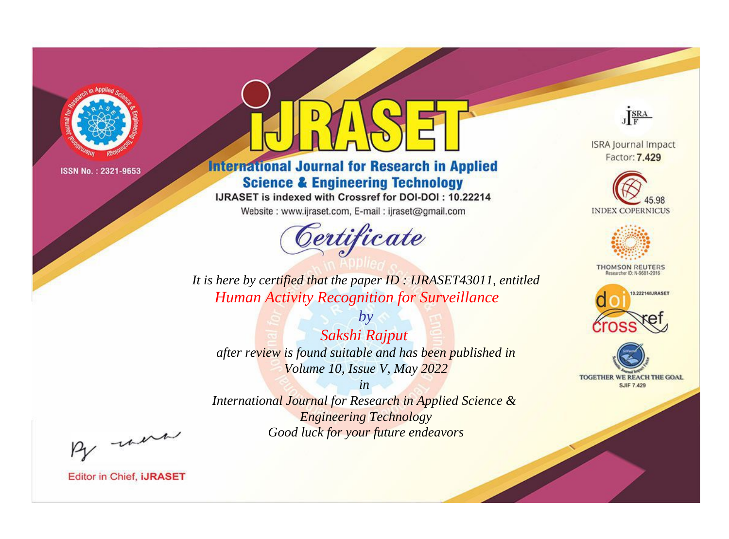

# **International Journal for Research in Applied Science & Engineering Technology**

IJRASET is indexed with Crossref for DOI-DOI: 10.22214

Website: www.ijraset.com, E-mail: ijraset@gmail.com



JERA **ISRA Journal Impact** 

Factor: 7.429





**THOMSON REUTERS** 



TOGETHER WE REACH THE GOAL **SJIF 7.429** 

*It is here by certified that the paper ID : IJRASET43011, entitled Human Activity Recognition for Surveillance*

*by Sakshi Rajput after review is found suitable and has been published in Volume 10, Issue V, May 2022*

*in* 

*International Journal for Research in Applied Science & Engineering Technology Good luck for your future endeavors*

By morn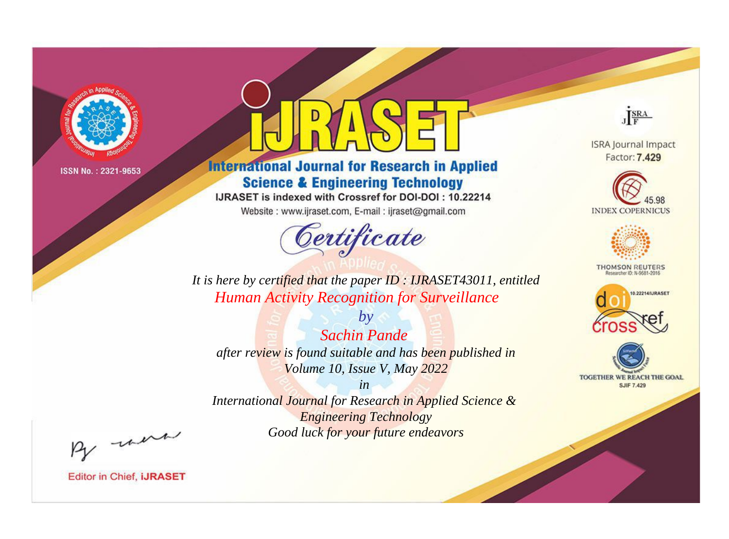

# **International Journal for Research in Applied Science & Engineering Technology**

IJRASET is indexed with Crossref for DOI-DOI: 10.22214

Website: www.ijraset.com, E-mail: ijraset@gmail.com



JERA **ISRA Journal Impact** 

Factor: 7.429





**THOMSON REUTERS** 



TOGETHER WE REACH THE GOAL **SJIF 7.429** 

*It is here by certified that the paper ID : IJRASET43011, entitled Human Activity Recognition for Surveillance*

*by Sachin Pande after review is found suitable and has been published in Volume 10, Issue V, May 2022*

*in* 

*International Journal for Research in Applied Science & Engineering Technology Good luck for your future endeavors*

By morn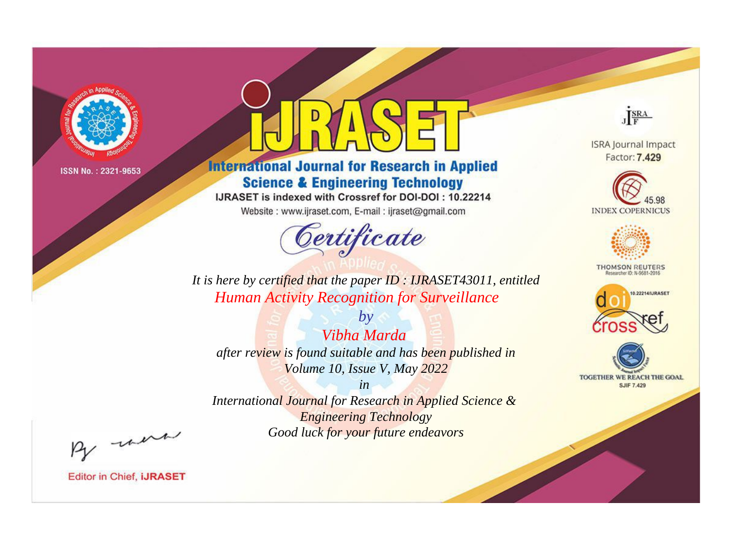

# **International Journal for Research in Applied Science & Engineering Technology**

IJRASET is indexed with Crossref for DOI-DOI: 10.22214

Website: www.ijraset.com, E-mail: ijraset@gmail.com



**ISRA Journal Impact** 

JERA

Factor: 7.429





**THOMSON REUTERS** 



TOGETHER WE REACH THE GOAL **SJIF 7.429** 

*It is here by certified that the paper ID : IJRASET43011, entitled Human Activity Recognition for Surveillance*

*by Vibha Marda after review is found suitable and has been published in Volume 10, Issue V, May 2022*

*in* 

*International Journal for Research in Applied Science & Engineering Technology Good luck for your future endeavors*

By morn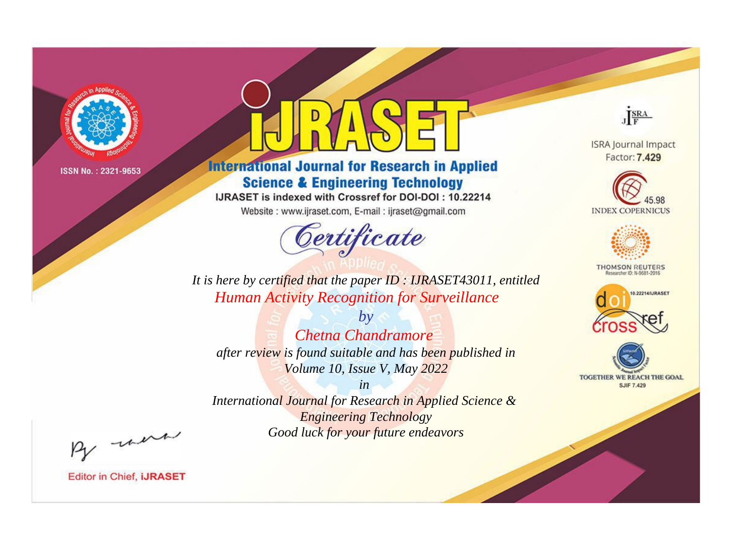

# **International Journal for Research in Applied Science & Engineering Technology**

IJRASET is indexed with Crossref for DOI-DOI: 10.22214

Website: www.ijraset.com, E-mail: ijraset@gmail.com



JERA

**ISRA Journal Impact** Factor: 7.429





**THOMSON REUTERS** 



TOGETHER WE REACH THE GOAL **SJIF 7.429** 

It is here by certified that the paper ID: IJRASET43011, entitled **Human Activity Recognition for Surveillance** 

 $b\nu$ Chetna Chandramore after review is found suitable and has been published in Volume 10, Issue V, May 2022

 $in$ International Journal for Research in Applied Science & **Engineering Technology** Good luck for your future endeavors

By morn